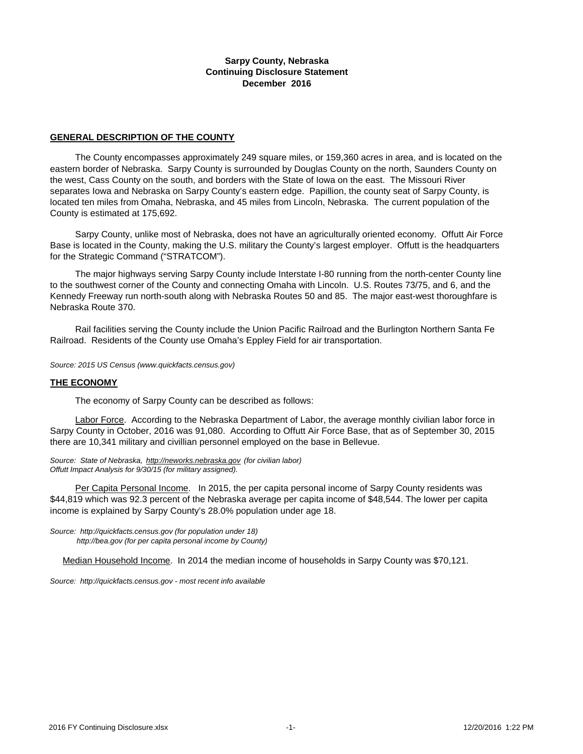### **Sarpy County, Nebraska Continuing Disclosure Statement December 2016**

#### **GENERAL DESCRIPTION OF THE COUNTY**

 The County encompasses approximately 249 square miles, or 159,360 acres in area, and is located on the eastern border of Nebraska. Sarpy County is surrounded by Douglas County on the north, Saunders County on the west, Cass County on the south, and borders with the State of Iowa on the east. The Missouri River separates Iowa and Nebraska on Sarpy County's eastern edge. Papillion, the county seat of Sarpy County, is located ten miles from Omaha, Nebraska, and 45 miles from Lincoln, Nebraska. The current population of the County is estimated at 175,692.

 Sarpy County, unlike most of Nebraska, does not have an agriculturally oriented economy. Offutt Air Force Base is located in the County, making the U.S. military the County's largest employer. Offutt is the headquarters for the Strategic Command ("STRATCOM").

 The major highways serving Sarpy County include Interstate I-80 running from the north-center County line to the southwest corner of the County and connecting Omaha with Lincoln. U.S. Routes 73/75, and 6, and the Kennedy Freeway run north-south along with Nebraska Routes 50 and 85. The major east-west thoroughfare is Nebraska Route 370.

 Rail facilities serving the County include the Union Pacific Railroad and the Burlington Northern Santa Fe Railroad. Residents of the County use Omaha's Eppley Field for air transportation.

*Source: 2015 US Census (www.quickfacts.census.gov)*

#### **THE ECONOMY**

The economy of Sarpy County can be described as follows:

Labor Force. According to the Nebraska Department of Labor, the average monthly civilian labor force in Sarpy County in October, 2016 was 91,080. According to Offutt Air Force Base, that as of September 30, 2015 there are 10,341 military and civillian personnel employed on the base in Bellevue.

*Source: State of Nebraska, http://neworks.nebraska.gov (for civilian labor) Offutt Impact Analysis for 9/30/15 (for military assigned).* 

 Per Capita Personal Income. In 2015, the per capita personal income of Sarpy County residents was \$44,819 which was 92.3 percent of the Nebraska average per capita income of \$48,544. The lower per capita income is explained by Sarpy County's 28.0% population under age 18.

*Source: http://quickfacts.census.gov (for population under 18) http://bea.gov (for per capita personal income by County)*

Median Household Income. In 2014 the median income of households in Sarpy County was \$70,121.

*[Source: http://quickfacts.census.gov - most recent info available](http://factfinder.census.gov/)*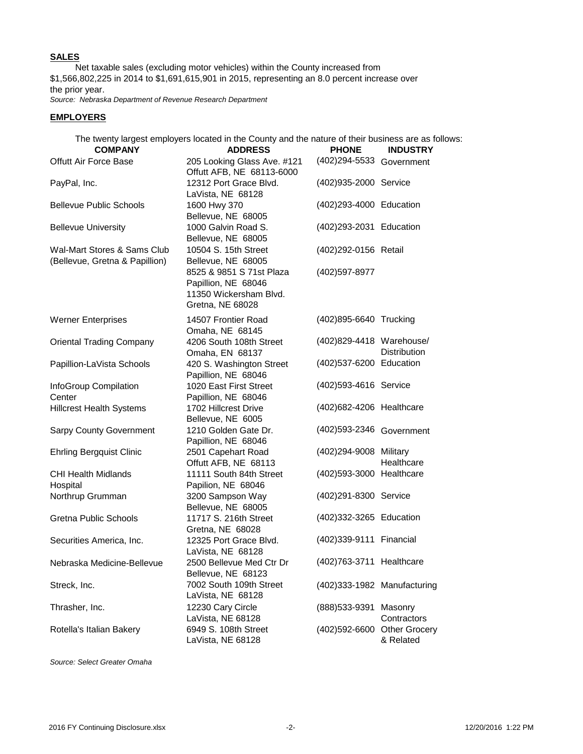### **SALES**

 Net taxable sales (excluding motor vehicles) within the County increased from \$1,566,802,225 in 2014 to \$1,691,615,901 in 2015, representing an 8.0 percent increase over the prior year.

*Source: Nebraska Department of Revenue Research Department*

### **EMPLOYERS**

The twenty largest employers located in the County and the nature of their business are as follows:

| <b>COMPANY</b>                                                | <b>ADDRESS</b>                                                                                | <b>PHONE</b>                | <b>INDUSTRY</b>        |  |  |
|---------------------------------------------------------------|-----------------------------------------------------------------------------------------------|-----------------------------|------------------------|--|--|
| <b>Offutt Air Force Base</b>                                  | 205 Looking Glass Ave. #121<br>Offutt AFB, NE 68113-6000                                      | (402) 294-5533 Government   |                        |  |  |
| PayPal, Inc.                                                  | 12312 Port Grace Blvd.<br>LaVista, NE 68128                                                   | (402)935-2000 Service       |                        |  |  |
| <b>Bellevue Public Schools</b>                                | 1600 Hwy 370<br>Bellevue, NE 68005                                                            | (402)293-4000 Education     |                        |  |  |
| <b>Bellevue University</b>                                    | 1000 Galvin Road S.<br>Bellevue, NE 68005                                                     | (402) 293-2031 Education    |                        |  |  |
| Wal-Mart Stores & Sams Club<br>(Bellevue, Gretna & Papillion) | 10504 S. 15th Street<br>Bellevue, NE 68005                                                    | (402) 292-0156 Retail       |                        |  |  |
|                                                               | 8525 & 9851 S 71st Plaza<br>Papillion, NE 68046<br>11350 Wickersham Blvd.<br>Gretna, NE 68028 | (402) 597-8977              |                        |  |  |
| <b>Werner Enterprises</b>                                     | 14507 Frontier Road<br>Omaha, NE 68145                                                        | (402) 895-6640 Trucking     |                        |  |  |
| <b>Oriental Trading Company</b>                               | 4206 South 108th Street<br>Omaha, EN 68137                                                    | (402)829-4418 Warehouse/    | <b>Distribution</b>    |  |  |
| Papillion-LaVista Schools                                     | 420 S. Washington Street<br>Papillion, NE 68046                                               | (402)537-6200 Education     |                        |  |  |
| InfoGroup Compilation<br>Center                               | 1020 East First Street<br>Papillion, NE 68046                                                 | (402)593-4616 Service       |                        |  |  |
| <b>Hillcrest Health Systems</b>                               | 1702 Hillcrest Drive<br>Bellevue, NE 6005                                                     | (402) 682-4206 Healthcare   |                        |  |  |
| <b>Sarpy County Government</b>                                | 1210 Golden Gate Dr.<br>Papillion, NE 68046                                                   | (402) 593-2346 Government   |                        |  |  |
| <b>Ehrling Bergquist Clinic</b>                               | 2501 Capehart Road<br>Offutt AFB, NE 68113                                                    | (402) 294-9008 Military     | Healthcare             |  |  |
| <b>CHI Health Midlands</b><br>Hospital                        | 11111 South 84th Street<br>Papilion, NE 68046                                                 | (402) 593-3000 Healthcare   |                        |  |  |
| Northrup Grumman                                              | 3200 Sampson Way<br>Bellevue, NE 68005                                                        | (402)291-8300 Service       |                        |  |  |
| Gretna Public Schools                                         | 11717 S. 216th Street<br>Gretna, NE 68028                                                     | (402)332-3265 Education     |                        |  |  |
| Securities America, Inc.                                      | 12325 Port Grace Blvd.<br>LaVista, NE 68128                                                   | (402)339-9111 Financial     |                        |  |  |
| Nebraska Medicine-Bellevue                                    | 2500 Bellevue Med Ctr Dr<br>Bellevue, NE 68123                                                | (402)763-3711 Healthcare    |                        |  |  |
| Streck, Inc.                                                  | 7002 South 109th Street<br>LaVista, NE 68128                                                  | (402)333-1982 Manufacturing |                        |  |  |
| Thrasher, Inc.                                                | 12230 Cary Circle<br>LaVista, NE 68128                                                        | (888) 533-9391              | Masonry<br>Contractors |  |  |
| Rotella's Italian Bakery                                      | 6949 S. 108th Street<br>LaVista, NE 68128                                                     | (402)592-6600 Other Grocery | & Related              |  |  |

*Source: Select Greater Omaha*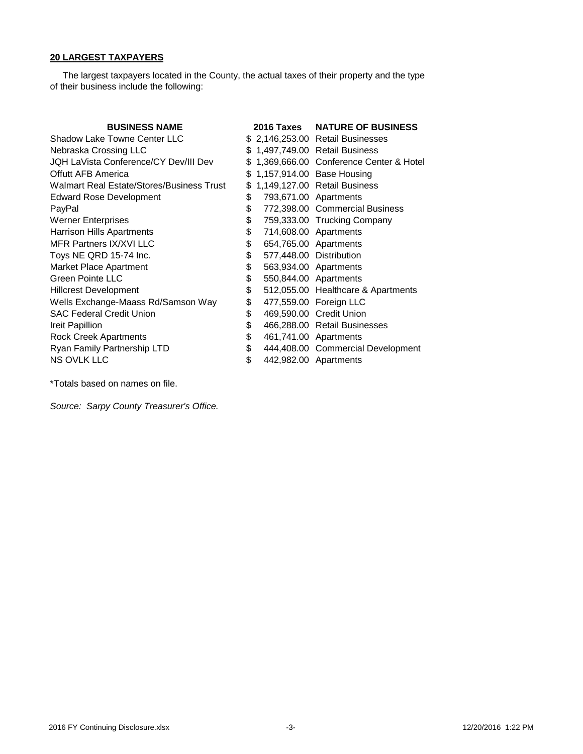## **20 LARGEST TAXPAYERS**

 The largest taxpayers located in the County, the actual taxes of their property and the type of their business include the following:

| <b>BUSINESS NAME</b>                      |    | 2016 Taxes              | <b>NATURE OF BUSINESS</b>              |
|-------------------------------------------|----|-------------------------|----------------------------------------|
| Shadow Lake Towne Center LLC              |    |                         | \$ 2,146,253.00 Retail Businesses      |
| Nebraska Crossing LLC                     |    |                         | \$1,497,749.00 Retail Business         |
| JQH LaVista Conference/CY Dev/III Dev     | S. |                         | 1,369,666.00 Conference Center & Hotel |
| Offutt AFB America                        | \$ |                         | 1,157,914.00 Base Housing              |
| Walmart Real Estate/Stores/Business Trust | \$ |                         | 1,149,127.00 Retail Business           |
| <b>Edward Rose Development</b>            | \$ |                         | 793,671.00 Apartments                  |
| PayPal                                    | \$ |                         | 772,398.00 Commercial Business         |
| <b>Werner Enterprises</b>                 | \$ |                         | 759,333.00 Trucking Company            |
| <b>Harrison Hills Apartments</b>          | \$ |                         | 714,608.00 Apartments                  |
| MFR Partners IX/XVI LLC                   | \$ |                         | 654,765.00 Apartments                  |
| Toys NE QRD 15-74 Inc.                    | \$ | 577,448.00 Distribution |                                        |
| Market Place Apartment                    | \$ |                         | 563,934.00 Apartments                  |
| Green Pointe LLC                          | \$ |                         | 550,844.00 Apartments                  |
| <b>Hillcrest Development</b>              | \$ |                         | 512,055.00 Healthcare & Apartments     |
| Wells Exchange-Maass Rd/Samson Way        | \$ |                         | 477,559.00 Foreign LLC                 |
| <b>SAC Federal Credit Union</b>           | \$ |                         | 469,590.00 Credit Union                |
| Ireit Papillion                           | \$ |                         | 466,288.00 Retail Businesses           |
| <b>Rock Creek Apartments</b>              | \$ |                         | 461,741.00 Apartments                  |
| Ryan Family Partnership LTD               | \$ |                         | 444,408.00 Commercial Development      |
| <b>NS OVLK LLC</b>                        | \$ |                         | 442,982.00 Apartments                  |

\*Totals based on names on file.

*Source: Sarpy County Treasurer's Office.*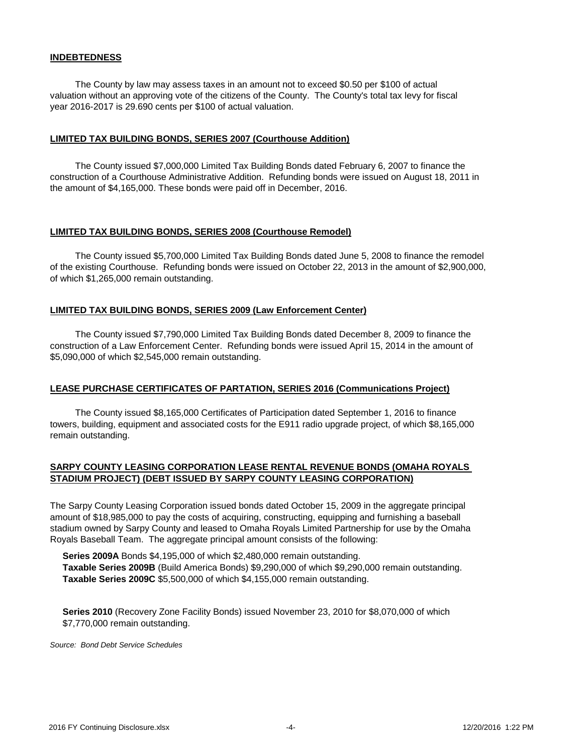### **INDEBTEDNESS**

 The County by law may assess taxes in an amount not to exceed \$0.50 per \$100 of actual valuation without an approving vote of the citizens of the County. The County's total tax levy for fiscal year 2016-2017 is 29.690 cents per \$100 of actual valuation.

#### **LIMITED TAX BUILDING BONDS, SERIES 2007 (Courthouse Addition)**

 The County issued \$7,000,000 Limited Tax Building Bonds dated February 6, 2007 to finance the construction of a Courthouse Administrative Addition. Refunding bonds were issued on August 18, 2011 in the amount of \$4,165,000. These bonds were paid off in December, 2016.

#### **LIMITED TAX BUILDING BONDS, SERIES 2008 (Courthouse Remodel)**

 The County issued \$5,700,000 Limited Tax Building Bonds dated June 5, 2008 to finance the remodel of the existing Courthouse. Refunding bonds were issued on October 22, 2013 in the amount of \$2,900,000, of which \$1,265,000 remain outstanding.

#### **LIMITED TAX BUILDING BONDS, SERIES 2009 (Law Enforcement Center)**

 The County issued \$7,790,000 Limited Tax Building Bonds dated December 8, 2009 to finance the construction of a Law Enforcement Center. Refunding bonds were issued April 15, 2014 in the amount of \$5,090,000 of which \$2,545,000 remain outstanding.

### **LEASE PURCHASE CERTIFICATES OF PARTATION, SERIES 2016 (Communications Project)**

 The County issued \$8,165,000 Certificates of Participation dated September 1, 2016 to finance towers, building, equipment and associated costs for the E911 radio upgrade project, of which \$8,165,000 remain outstanding.

### **SARPY COUNTY LEASING CORPORATION LEASE RENTAL REVENUE BONDS (OMAHA ROYALS STADIUM PROJECT) (DEBT ISSUED BY SARPY COUNTY LEASING CORPORATION)**

The Sarpy County Leasing Corporation issued bonds dated October 15, 2009 in the aggregate principal amount of \$18,985,000 to pay the costs of acquiring, constructing, equipping and furnishing a baseball stadium owned by Sarpy County and leased to Omaha Royals Limited Partnership for use by the Omaha Royals Baseball Team. The aggregate principal amount consists of the following:

 **Series 2009A** Bonds \$4,195,000 of which \$2,480,000 remain outstanding. **Taxable Series 2009B** (Build America Bonds) \$9,290,000 of which \$9,290,000 remain outstanding. **Taxable Series 2009C** \$5,500,000 of which \$4,155,000 remain outstanding.

 **Series 2010** (Recovery Zone Facility Bonds) issued November 23, 2010 for \$8,070,000 of which \$7,770,000 remain outstanding.

*Source: Bond Debt Service Schedules*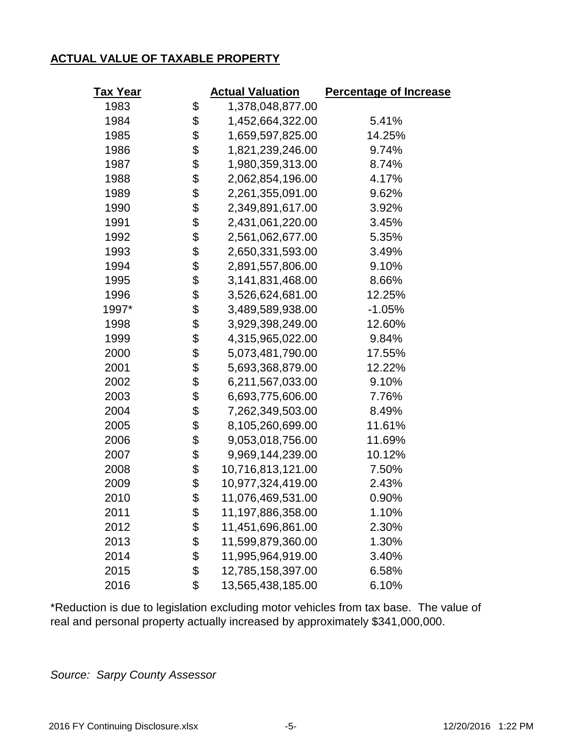# **ACTUAL VALUE OF TAXABLE PROPERTY**

| Tax Year |    | <b>Actual Valuation</b> | <b>Percentage of Increase</b> |  |  |  |  |
|----------|----|-------------------------|-------------------------------|--|--|--|--|
| 1983     | \$ | 1,378,048,877.00        |                               |  |  |  |  |
| 1984     | \$ | 1,452,664,322.00        | 5.41%                         |  |  |  |  |
| 1985     | \$ | 1,659,597,825.00        | 14.25%                        |  |  |  |  |
| 1986     | \$ | 1,821,239,246.00        | 9.74%                         |  |  |  |  |
| 1987     | \$ | 1,980,359,313.00        | 8.74%                         |  |  |  |  |
| 1988     | \$ | 2,062,854,196.00        | 4.17%                         |  |  |  |  |
| 1989     | \$ | 2,261,355,091.00        | 9.62%                         |  |  |  |  |
| 1990     | \$ | 2,349,891,617.00        | 3.92%                         |  |  |  |  |
| 1991     | \$ | 2,431,061,220.00        | 3.45%                         |  |  |  |  |
| 1992     | \$ | 2,561,062,677.00        | 5.35%                         |  |  |  |  |
| 1993     | \$ | 2,650,331,593.00        | 3.49%                         |  |  |  |  |
| 1994     | \$ | 2,891,557,806.00        | 9.10%                         |  |  |  |  |
| 1995     | \$ | 3,141,831,468.00        | 8.66%                         |  |  |  |  |
| 1996     | \$ | 3,526,624,681.00        | 12.25%                        |  |  |  |  |
| 1997*    | \$ | 3,489,589,938.00        | $-1.05%$                      |  |  |  |  |
| 1998     | \$ | 3,929,398,249.00        | 12.60%                        |  |  |  |  |
| 1999     | \$ | 4,315,965,022.00        | 9.84%                         |  |  |  |  |
| 2000     | \$ | 5,073,481,790.00        | 17.55%                        |  |  |  |  |
| 2001     | \$ | 5,693,368,879.00        | 12.22%                        |  |  |  |  |
| 2002     | \$ | 6,211,567,033.00        | 9.10%                         |  |  |  |  |
| 2003     | \$ | 6,693,775,606.00        | 7.76%                         |  |  |  |  |
| 2004     | \$ | 7,262,349,503.00        | 8.49%                         |  |  |  |  |
| 2005     | \$ | 8,105,260,699.00        | 11.61%                        |  |  |  |  |
| 2006     | \$ | 9,053,018,756.00        | 11.69%                        |  |  |  |  |
| 2007     | \$ | 9,969,144,239.00        | 10.12%                        |  |  |  |  |
| 2008     | \$ | 10,716,813,121.00       | 7.50%                         |  |  |  |  |
| 2009     | \$ | 10,977,324,419.00       | 2.43%                         |  |  |  |  |
| 2010     | \$ | 11,076,469,531.00       | 0.90%                         |  |  |  |  |
| 2011     | Φ  | 11,197,886,358.00       | 1.10%                         |  |  |  |  |
| 2012     | \$ | 11,451,696,861.00       | 2.30%                         |  |  |  |  |
| 2013     | \$ | 11,599,879,360.00       | 1.30%                         |  |  |  |  |
| 2014     | \$ | 11,995,964,919.00       | 3.40%                         |  |  |  |  |
| 2015     | \$ | 12,785,158,397.00       | 6.58%                         |  |  |  |  |
| 2016     | \$ | 13,565,438,185.00       | 6.10%                         |  |  |  |  |

\*Reduction is due to legislation excluding motor vehicles from tax base. The value of real and personal property actually increased by approximately \$341,000,000.

*Source: Sarpy County Assessor*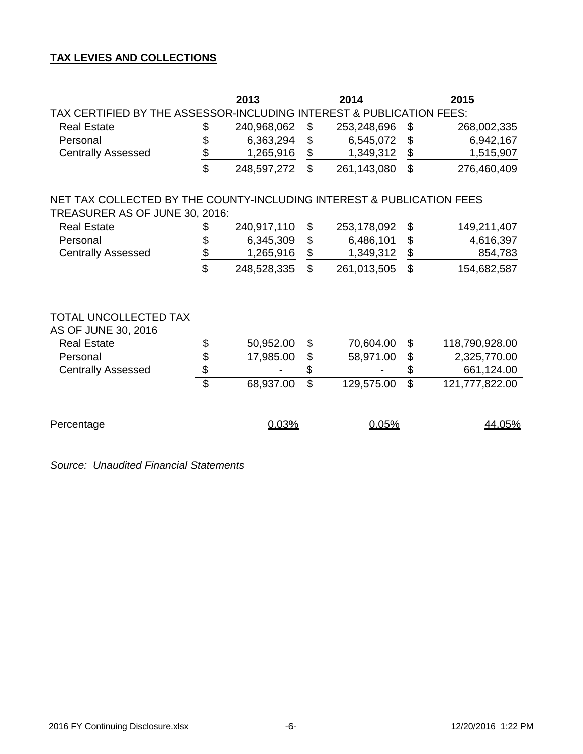# **TAX LEVIES AND COLLECTIONS**

|                                                                       |                 | 2013        |                           | 2014        | 2015                     |                |  |  |  |  |  |  |  |
|-----------------------------------------------------------------------|-----------------|-------------|---------------------------|-------------|--------------------------|----------------|--|--|--|--|--|--|--|
| TAX CERTIFIED BY THE ASSESSOR-INCLUDING INTEREST & PUBLICATION FEES:  |                 |             |                           |             |                          |                |  |  |  |  |  |  |  |
| <b>Real Estate</b>                                                    | \$              | 240,968,062 | \$                        | 253,248,696 | \$                       | 268,002,335    |  |  |  |  |  |  |  |
| Personal                                                              | \$              | 6,363,294   | $\boldsymbol{\mathsf{S}}$ | 6,545,072   | \$                       | 6,942,167      |  |  |  |  |  |  |  |
| <b>Centrally Assessed</b>                                             | $\frac{1}{2}$   | 1,265,916   | $\frac{1}{2}$             | 1,349,312   | $\frac{1}{2}$            | 1,515,907      |  |  |  |  |  |  |  |
|                                                                       | $\mathfrak{P}$  | 248,597,272 | $\mathbb{S}$              | 261,143,080 | $\mathbb{S}$             | 276,460,409    |  |  |  |  |  |  |  |
| NET TAX COLLECTED BY THE COUNTY-INCLUDING INTEREST & PUBLICATION FEES |                 |             |                           |             |                          |                |  |  |  |  |  |  |  |
| TREASURER AS OF JUNE 30, 2016:                                        |                 |             |                           |             |                          |                |  |  |  |  |  |  |  |
| <b>Real Estate</b>                                                    | \$              | 240,917,110 | \$                        | 253,178,092 | \$                       | 149,211,407    |  |  |  |  |  |  |  |
| Personal                                                              | \$              | 6,345,309   | $\frac{1}{2}$             | 6,486,101   | \$                       | 4,616,397      |  |  |  |  |  |  |  |
| <b>Centrally Assessed</b>                                             | $\frac{\$}{}$   | 1,265,916   | $\frac{1}{2}$             | 1,349,312   | \$                       | 854,783        |  |  |  |  |  |  |  |
|                                                                       | \$              | 248,528,335 | $\mathbb{S}$              | 261,013,505 | $\mathbb{S}$             | 154,682,587    |  |  |  |  |  |  |  |
| TOTAL UNCOLLECTED TAX<br>AS OF JUNE 30, 2016                          |                 |             |                           |             |                          |                |  |  |  |  |  |  |  |
| <b>Real Estate</b>                                                    | \$              | 50,952.00   | \$                        | 70,604.00   | \$                       | 118,790,928.00 |  |  |  |  |  |  |  |
| Personal                                                              |                 | 17,985.00   | $\frac{1}{2}$             | 58,971.00   | \$                       | 2,325,770.00   |  |  |  |  |  |  |  |
| <b>Centrally Assessed</b>                                             | \$              |             | \$                        |             | \$                       | 661,124.00     |  |  |  |  |  |  |  |
|                                                                       | $\overline{\$}$ | 68,937.00   | $\overline{\mathcal{S}}$  | 129,575.00  | $\overline{\mathcal{S}}$ | 121,777,822.00 |  |  |  |  |  |  |  |
| Percentage                                                            |                 | 0.03%       |                           | 0.05%       |                          | 44.05%         |  |  |  |  |  |  |  |

*Source: Unaudited Financial Statements*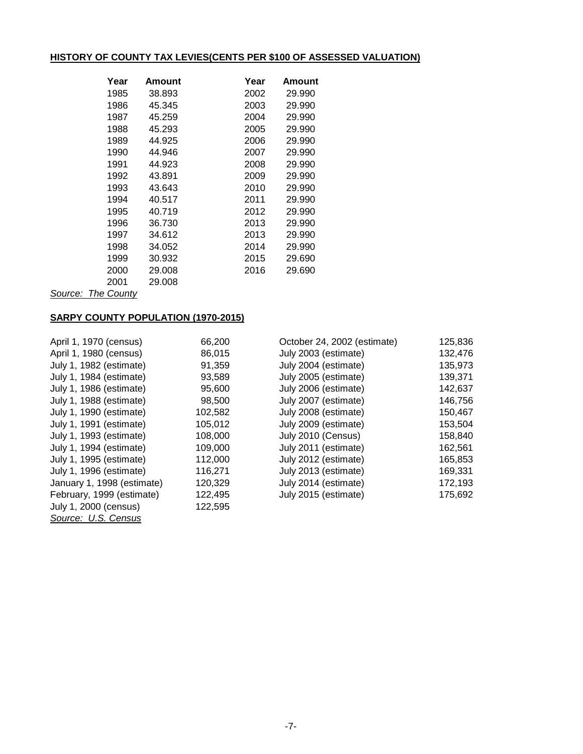# **HISTORY OF COUNTY TAX LEVIES(CENTS PER \$100 OF ASSESSED VALUATION)**

| Year | Amount | Year | Amount |
|------|--------|------|--------|
| 1985 | 38.893 | 2002 | 29.990 |
| 1986 | 45.345 | 2003 | 29.990 |
| 1987 | 45.259 | 2004 | 29.990 |
| 1988 | 45.293 | 2005 | 29.990 |
| 1989 | 44.925 | 2006 | 29.990 |
| 1990 | 44.946 | 2007 | 29.990 |
| 1991 | 44.923 | 2008 | 29.990 |
| 1992 | 43.891 | 2009 | 29.990 |
| 1993 | 43.643 | 2010 | 29.990 |
| 1994 | 40.517 | 2011 | 29.990 |
| 1995 | 40.719 | 2012 | 29.990 |
| 1996 | 36.730 | 2013 | 29.990 |
| 1997 | 34.612 | 2013 | 29.990 |
| 1998 | 34.052 | 2014 | 29.990 |
| 1999 | 30.932 | 2015 | 29.690 |
| 2000 | 29.008 | 2016 | 29.690 |
| 2001 | 29.008 |      |        |

*Source: The County*

## **SARPY COUNTY POPULATION (1970-2015)**

| April 1, 1970 (census)     | 66,200  | October 24, 2002 (estimate) | 125,836 |
|----------------------------|---------|-----------------------------|---------|
| April 1, 1980 (census)     | 86,015  | July 2003 (estimate)        | 132,476 |
| July 1, 1982 (estimate)    | 91,359  | July 2004 (estimate)        | 135,973 |
| July 1, 1984 (estimate)    | 93,589  | July 2005 (estimate)        | 139,371 |
| July 1, 1986 (estimate)    | 95,600  | July 2006 (estimate)        | 142,637 |
| July 1, 1988 (estimate)    | 98,500  | July 2007 (estimate)        | 146,756 |
| July 1, 1990 (estimate)    | 102,582 | July 2008 (estimate)        | 150,467 |
| July 1, 1991 (estimate)    | 105,012 | July 2009 (estimate)        | 153,504 |
| July 1, 1993 (estimate)    | 108,000 | July 2010 (Census)          | 158,840 |
| July 1, 1994 (estimate)    | 109,000 | July 2011 (estimate)        | 162,561 |
| July 1, 1995 (estimate)    | 112,000 | July 2012 (estimate)        | 165,853 |
| July 1, 1996 (estimate)    | 116,271 | July 2013 (estimate)        | 169,331 |
| January 1, 1998 (estimate) | 120,329 | July 2014 (estimate)        | 172,193 |
| February, 1999 (estimate)  | 122,495 | July 2015 (estimate)        | 175,692 |
| July 1, 2000 (census)      | 122,595 |                             |         |
| Source: U.S. Census        |         |                             |         |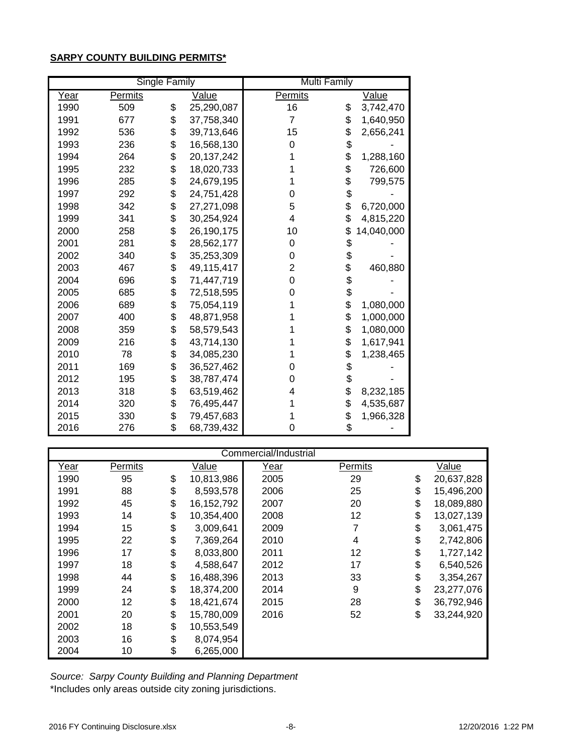## **SARPY COUNTY BUILDING PERMITS\***

|      |         | <b>Single Family</b> |            | <b>Multi Family</b> |                  |
|------|---------|----------------------|------------|---------------------|------------------|
| Year | Permits |                      | Value      | Permits             | Value            |
| 1990 | 509     | \$                   | 25,290,087 | 16                  | \$<br>3,742,470  |
| 1991 | 677     | \$                   | 37,758,340 | 7                   | \$<br>1,640,950  |
| 1992 | 536     | \$                   | 39,713,646 | 15                  | \$<br>2,656,241  |
| 1993 | 236     | \$                   | 16,568,130 | 0                   | \$               |
| 1994 | 264     | \$                   | 20,137,242 | 1                   | \$<br>1,288,160  |
| 1995 | 232     | \$                   | 18,020,733 |                     | \$<br>726,600    |
| 1996 | 285     | \$                   | 24,679,195 |                     | \$<br>799,575    |
| 1997 | 292     | \$                   | 24,751,428 | 0                   | \$               |
| 1998 | 342     | \$                   | 27,271,098 | 5                   | \$<br>6,720,000  |
| 1999 | 341     | \$                   | 30,254,924 | 4                   | \$<br>4,815,220  |
| 2000 | 258     | \$                   | 26,190,175 | 10                  | \$<br>14,040,000 |
| 2001 | 281     | \$                   | 28,562,177 | 0                   | \$               |
| 2002 | 340     | \$                   | 35,253,309 | 0                   | \$               |
| 2003 | 467     | \$                   | 49,115,417 | 2                   | \$<br>460,880    |
| 2004 | 696     | \$                   | 71,447,719 | 0                   | \$               |
| 2005 | 685     | \$                   | 72,518,595 | 0                   | \$               |
| 2006 | 689     | \$                   | 75,054,119 | 1                   | \$<br>1,080,000  |
| 2007 | 400     | \$                   | 48,871,958 |                     | \$<br>1,000,000  |
| 2008 | 359     | \$                   | 58,579,543 |                     | \$<br>1,080,000  |
| 2009 | 216     | \$                   | 43,714,130 |                     | \$<br>1,617,941  |
| 2010 | 78      | \$                   | 34,085,230 |                     | \$<br>1,238,465  |
| 2011 | 169     | \$                   | 36,527,462 | 0                   | \$               |
| 2012 | 195     | \$                   | 38,787,474 | 0                   | \$               |
| 2013 | 318     | \$                   | 63,519,462 | 4                   | \$<br>8,232,185  |
| 2014 | 320     | \$                   | 76,495,447 |                     | \$<br>4,535,687  |
| 2015 | 330     | \$                   | 79,457,683 |                     | \$<br>1,966,328  |
| 2016 | 276     | \$                   | 68,739,432 | 0                   | \$               |

|             | Commercial/Industrial |    |              |      |         |    |            |  |  |  |  |  |
|-------------|-----------------------|----|--------------|------|---------|----|------------|--|--|--|--|--|
| <u>Year</u> | Permits               |    | Value        | Year | Permits |    | Value      |  |  |  |  |  |
| 1990        | 95                    | \$ | 10,813,986   | 2005 | 29      | \$ | 20,637,828 |  |  |  |  |  |
| 1991        | 88                    | \$ | 8,593,578    | 2006 | 25      | \$ | 15,496,200 |  |  |  |  |  |
| 1992        | 45                    | \$ | 16, 152, 792 | 2007 | 20      | \$ | 18,089,880 |  |  |  |  |  |
| 1993        | 14                    | \$ | 10,354,400   | 2008 | 12      | \$ | 13,027,139 |  |  |  |  |  |
| 1994        | 15                    | \$ | 3,009,641    | 2009 | 7       | \$ | 3,061,475  |  |  |  |  |  |
| 1995        | 22                    | \$ | 7,369,264    | 2010 | 4       | \$ | 2,742,806  |  |  |  |  |  |
| 1996        | 17                    | \$ | 8,033,800    | 2011 | 12      | \$ | 1,727,142  |  |  |  |  |  |
| 1997        | 18                    | \$ | 4,588,647    | 2012 | 17      | \$ | 6,540,526  |  |  |  |  |  |
| 1998        | 44                    | \$ | 16,488,396   | 2013 | 33      | \$ | 3,354,267  |  |  |  |  |  |
| 1999        | 24                    | \$ | 18,374,200   | 2014 | 9       | \$ | 23,277,076 |  |  |  |  |  |
| 2000        | 12                    | \$ | 18,421,674   | 2015 | 28      | \$ | 36,792,946 |  |  |  |  |  |
| 2001        | 20                    | \$ | 15,780,009   | 2016 | 52      | \$ | 33,244,920 |  |  |  |  |  |
| 2002        | 18                    | \$ | 10,553,549   |      |         |    |            |  |  |  |  |  |
| 2003        | 16                    | \$ | 8,074,954    |      |         |    |            |  |  |  |  |  |
| 2004        | 10                    | \$ | 6,265,000    |      |         |    |            |  |  |  |  |  |

\*Includes only areas outside city zoning jurisdictions. *Source: Sarpy County Building and Planning Department*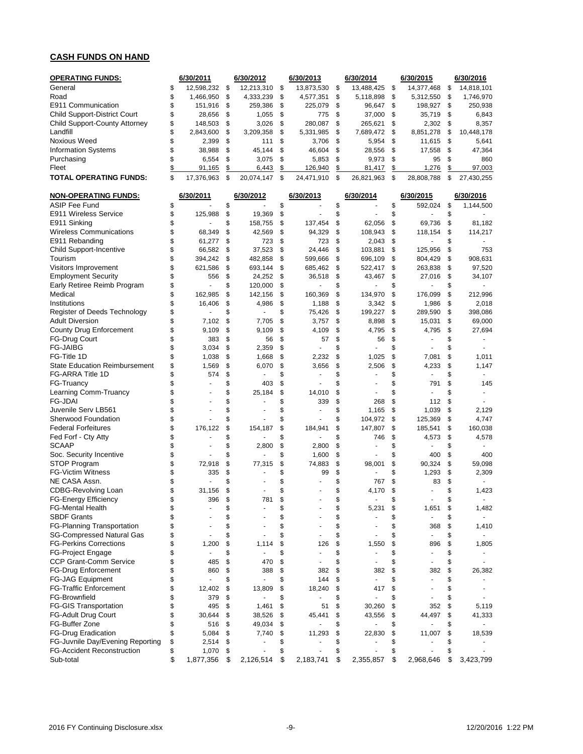## **CASH FUNDS ON HAND**

| <b>OPERATING FUNDS:</b>                             |          | 6/30/2011            |          | 6/30/2012           |          | 6/30/2013             |          | 6/30/2014                |          | 6/30/2015            |          | 6/30/2016                |
|-----------------------------------------------------|----------|----------------------|----------|---------------------|----------|-----------------------|----------|--------------------------|----------|----------------------|----------|--------------------------|
| General                                             | \$       | 12,598,232           | \$       | 12,213,310          | \$       | 13,873,530            | \$       | 13,488,425               | \$       | 14,377,468           | \$       | 14,818,101               |
| Road                                                | \$       | 1,466,950            | \$       | 4,333,239           | \$       | 4,577,351             | \$       | 5,118,898                | \$       | 5,312,550            | \$       | 1,746,970                |
| E911 Communication                                  | \$       | 151,916              | \$       | 259,386             | \$       | 225,079               | \$       | 96,647                   | \$       | 198,927              | \$       | 250,938                  |
| <b>Child Support-District Court</b>                 | \$       | 28,656               | \$       | 1,055               | \$       | 775                   | \$       | 37,000                   | \$       | 35,719               | \$       | 6,843                    |
| Child Support-County Attorney                       | \$       | 148,503              | \$       | 3,026               | \$       | 280,087               | \$       | 265,621                  | \$       | 2,302                | \$       | 8,357                    |
| Landfill                                            | \$       | 2,843,600            | \$       | 3,209,358           | \$       | 5,331,985             | \$       | 7,689,472                | \$       | 8,851,278            | \$       | 10,448,178               |
| Noxious Weed                                        | \$       | 2,399                | \$       | 111                 | \$       | 3,706                 | \$       | 5,954                    | \$       | 11,615               | \$       | 5,641                    |
| <b>Information Systems</b>                          | \$       | 38,988               | \$       | 45,144              | \$       | 46,604                | \$       | 28,556                   | \$       | 17,558               | \$       | 47,364                   |
| Purchasing                                          | \$       | 6,554                | \$       | 3,075               | \$       | 5,853                 | \$       | 9,973                    | \$       | 95                   | \$       | 860                      |
| Fleet<br>TOTAL OPERATING FUNDS:                     | \$<br>\$ | 91,165<br>17,376,963 | \$<br>\$ | 6,443<br>20.074.147 | \$<br>\$ | 126,940<br>24,471,910 | \$<br>\$ | 81,417<br>26,821,963     | \$<br>\$ | 1,276<br>28,808,788  | \$<br>\$ | 97,003<br>27,430,255     |
|                                                     |          |                      |          |                     |          |                       |          |                          |          |                      |          |                          |
| <b>NON-OPERATING FUNDS:</b><br><b>ASIP Fee Fund</b> | \$       | 6/30/2011            | \$       | 6/30/2012           | \$       | 6/30/2013             | \$       | 6/30/2014                | \$       | 6/30/2015<br>592,024 | \$       | 6/30/2016                |
| E911 Wireless Service                               | \$       | 125,988              | \$       | 19,369              | \$       |                       | \$       |                          | \$       |                      | \$       | 1,144,500                |
| E911 Sinking                                        | \$       |                      | \$       | 158,755             | \$       | 137,454               | \$       | 62,056                   | \$       | 69,736               | \$       | 81,182                   |
| <b>Wireless Communications</b>                      | \$       | 68,349               | \$       | 42,569              | \$       | 94,329                | \$       | 108,943                  | \$       | 118,154              | \$       | 114,217                  |
| E911 Rebanding                                      | \$       | 61,277               | \$       | 723                 | \$       | 723                   | \$       | 2,043                    | \$       |                      | \$       |                          |
| <b>Child Support-Incentive</b>                      | \$       | 66,582               | \$       | 37,523              | \$       | 24,446                | \$       | 103,881                  | \$       | 125,956              | \$       | 753                      |
| Tourism                                             | \$       | 394,242              | \$       | 482,858             | \$       | 599,666               | \$       | 696,109                  | \$       | 804,429              | \$       | 908,631                  |
| Visitors Improvement                                | \$       | 621,586              | \$       | 693,144             | \$       | 685,462               | \$       | 522,417                  | \$       | 263,838              | \$       | 97,520                   |
| <b>Employment Security</b>                          | \$       | 556                  | \$       | 24,252              | \$       | 36,518                | \$       | 43,467                   | \$       | 27,016               | \$       | 34,107                   |
| Early Retiree Reimb Program                         | \$       | $\frac{1}{2}$        | \$       | 120,000             | \$       |                       | \$       |                          | \$       |                      | \$       |                          |
| Medical                                             | \$       | 162,985              | \$       | 142,156             | \$       | 160,369               | \$       | 134,970                  | \$       | 176,099              | \$       | 212,996                  |
| Institutions                                        | \$       | 16,406               | \$       | 4,986               | \$       | 1,188                 | \$       | 3,342                    | \$       | 1,986                | \$       | 2,018                    |
| Register of Deeds Technology                        | \$       |                      | \$       |                     | \$       | 75,426                | \$       | 199,227                  | \$       | 289,590              | \$       | 398,086                  |
| <b>Adult Diversion</b>                              | \$       | 7,102                | \$       | 7,705               | \$       | 3,757                 | \$       | 8,898                    | \$       | 15,031               | \$       | 69,000                   |
| <b>County Drug Enforcement</b>                      | \$       | 9,109                | \$       | 9,109               | \$       | 4,109                 | \$       | 4,795                    | \$       | 4,795                | \$       | 27,694                   |
| <b>FG-Drug Court</b>                                | \$       | 383                  | \$       | 56                  | \$       | 57                    | \$       | 56                       | \$       |                      | \$       |                          |
| <b>FG-JAIBG</b>                                     | \$       | 3,034                | \$       | 2,359               | \$       |                       | \$       |                          | \$       |                      | \$       |                          |
| FG-Title 1D                                         | \$       | 1,038                | \$       | 1,668               | \$       | 2,232                 | \$       | 1,025                    | \$       | 7,081                | \$       | 1,011                    |
| <b>State Education Reimbursement</b>                | \$       | 1,569                | \$       | 6,070               | \$       | 3,656                 | \$       | 2,506                    | \$       | 4,233                | \$       | 1,147                    |
| FG-ARRA Title 1D                                    | \$       | 574                  | \$       |                     | \$       |                       | \$       |                          | \$       |                      | \$       |                          |
| FG-Truancy                                          | \$       | ä,                   | \$       | 403                 | \$       |                       | \$       | $\overline{\phantom{a}}$ | \$       | 791                  | \$       | 145                      |
| Learning Comm-Truancy                               | \$       |                      | \$       | 25,184              | \$       | 14,010                | \$       | $\overline{\phantom{a}}$ | \$       | ÷.                   | \$       | $\ddot{\phantom{1}}$     |
| FG-JDAI                                             | \$       |                      | \$       |                     | \$       | 339                   | \$       | 268                      | \$       | 112                  | \$       |                          |
| Juvenile Serv LB561                                 | \$       |                      | \$       |                     | \$       |                       | \$       | 1,165                    | \$       | 1,039                | \$       | 2,129                    |
| Sherwood Foundation                                 | \$       |                      | \$       |                     | \$       |                       | \$       | 104,972                  | \$       | 125,369              | \$       | 4,747                    |
| <b>Federal Forfeitures</b>                          | \$       | 176,122              | \$       | 154,187             | \$       | 184,941               | \$       | 147,807                  | \$       | 185,541              | \$       | 160,038                  |
| Fed Forf - Cty Atty                                 | \$       |                      | \$       |                     | \$       |                       | \$       | 746                      | \$       | 4,573                | \$       | 4,578                    |
| <b>SCAAP</b>                                        | \$       | $\blacksquare$       | \$       | 2,800               | \$       | 2,800                 | \$       | ä,                       | \$       | ٠                    | \$       |                          |
| Soc. Security Incentive                             | \$       |                      | \$       |                     | \$       | 1,600                 | \$       |                          | \$       | 400                  | \$       | 400                      |
| STOP Program                                        | \$       | 72,918               | \$       | 77,315              | \$       | 74,883                | \$       | 98,001                   | \$       | 90,324               | \$       | 59,098                   |
| <b>FG-Victim Witness</b>                            | \$       | 335                  | \$       |                     | \$       | 99                    | \$       |                          | \$       | 1,293                | \$       | 2,309                    |
| NE CASA Assn.                                       | \$       |                      | \$       |                     | \$       |                       | \$       | 767                      | \$       | 83                   | \$       |                          |
| <b>CDBG-Revolving Loan</b>                          | \$       | 31,156               | \$       |                     | \$       |                       | \$       | 4,170                    | \$       |                      | \$       | 1,423                    |
| FG-Energy Efficiency                                | ፍ        | 396 \$               |          | 781                 | \$       |                       | \$       |                          | ፍ        |                      | ፍ        |                          |
| <b>FG-Mental Health</b>                             | \$       |                      | \$       |                     | \$       |                       | \$       | 5,231                    | \$       | 1,651                | \$       | 1,482                    |
| <b>SBDF Grants</b>                                  | \$       |                      | \$       |                     | \$       |                       | \$       |                          | \$       |                      | \$       | $\overline{\phantom{a}}$ |
| FG-Planning Transportation                          | \$       |                      | \$       |                     | \$       |                       | \$       |                          | \$       | 368                  | \$       | 1,410                    |
| <b>SG-Compressed Natural Gas</b>                    | \$       |                      | \$       |                     | \$       |                       | \$       |                          | \$       |                      | \$       | $\sim$                   |
| <b>FG-Perkins Corrections</b>                       | \$       | 1,200                | \$       | 1,114               | \$       | 126                   | \$       | 1,550                    | \$       | 896                  | \$       | 1,805                    |
| <b>FG-Project Engage</b>                            | \$       | ä,                   | \$       |                     | \$       |                       | \$       |                          | \$       |                      | \$       |                          |
| CCP Grant-Comm Service                              | \$       | 485                  | \$       | 470                 | \$       |                       | \$       |                          | \$       |                      | \$       |                          |
| <b>FG-Drug Enforcement</b>                          | \$       | 860                  | \$       | 388                 | \$       | 382                   | \$       | 382                      | \$       | 382                  | \$       | 26,382                   |
| FG-JAG Equipment                                    | \$       |                      | \$       |                     | \$       | 144                   | \$       |                          | \$       |                      | \$       |                          |
| <b>FG-Traffic Enforcement</b>                       | \$       | 12,402               | \$       | 13,809              | \$       | 18,240                | \$       | 417                      | \$       |                      | \$       |                          |
| FG-Brownfield                                       | \$       | 379                  | \$       |                     | \$       |                       | \$       | $\blacksquare$           | \$       |                      | \$       |                          |
| <b>FG-GIS Transportation</b>                        | \$       | 495                  | \$       | 1,461               | \$       | 51                    | \$       | 30,260                   | \$       | 352                  | \$       | 5,119                    |
| <b>FG-Adult Drug Court</b>                          | \$       | 30,644               | \$       | 38,526              | \$       | 45,441                | \$       | 43,556                   | \$       | 44,497               | \$       | 41,333                   |
| FG-Buffer Zone                                      | \$       | 516                  | \$       | 49,034              | \$       |                       | \$       |                          | \$       |                      | \$       |                          |
| <b>FG-Drug Eradication</b>                          | \$       | 5,084                | \$       | 7,740               | \$       | 11,293                | \$       | 22,830                   | \$       | 11,007               | \$       | 18,539                   |
| FG-Juvnile Day/Evening Reporting                    | \$       | 2,514                | \$       |                     | \$       |                       | \$       |                          | \$       |                      |          |                          |
| <b>FG-Accident Reconstruction</b>                   | \$       | 1,070                | \$       |                     | \$       |                       | \$       |                          | \$       |                      |          |                          |
| Sub-total                                           | \$       | 1,877,356            | - \$     | 2,126,514 \$        |          | 2,183,741             | \$       | 2,355,857                | \$       | 2,968,646            | \$       | 3,423,799                |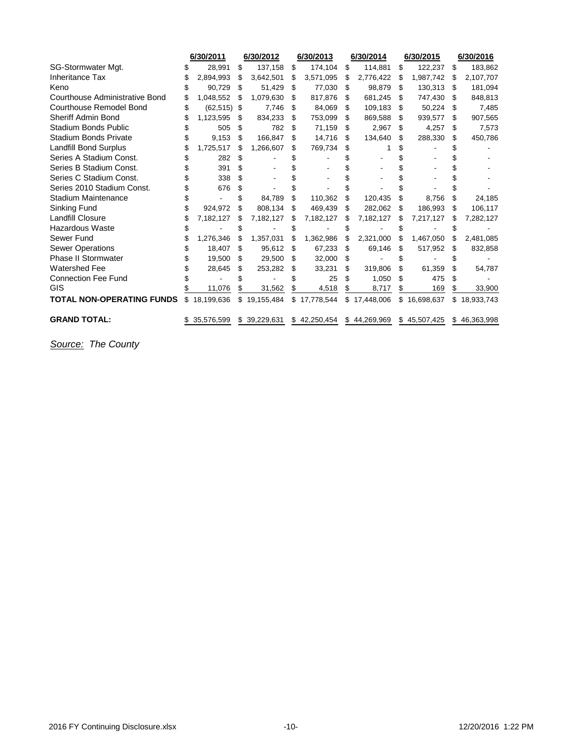|                                  | 6/30/2011      |     | 6/30/2012    |     | 6/30/2013    |     | 6/30/2014    |    | 6/30/2015    |    | 6/30/2016    |
|----------------------------------|----------------|-----|--------------|-----|--------------|-----|--------------|----|--------------|----|--------------|
| SG-Stormwater Mgt.               | 28,991         | S   | 137,158      | \$  | 174,104      | \$  | 114,881      | \$ | 122,237      | \$ | 183,862      |
| Inheritance Tax                  | 2,894,993      | \$. | 3,642,501    | \$  | 3,571,095    | \$  | 2,776,422    | S  | 1,987,742    | \$ | 2,107,707    |
| Keno                             | 90,729         | -\$ | 51,429       | \$  | 77,030       | \$  | 98,879       | S  | 130,313      | S  | 181,094      |
| Courthouse Administrative Bond   | 1,048,552      | -S  | 1,079,630    | \$. | 817,876      | S   | 681,245      | S  | 747,430      | S  | 848,813      |
| <b>Courthouse Remodel Bond</b>   | $(62, 515)$ \$ |     | 7,746        | \$. | 84,069       | \$  | 109,183      | S  | 50,224       | S  | 7,485        |
| Sheriff Admin Bond               | 1,123,595      | \$. | 834,233      | S   | 753,099      | \$. | 869,588      | S  | 939,577      | S  | 907,565      |
| Stadium Bonds Public             | 505            | \$  | 782          | S   | 71,159       | \$  | 2,967        | S  | 4,257        | \$ | 7,573        |
| <b>Stadium Bonds Private</b>     | 9,153          | \$  | 166.847      | S   | 14,716       | \$  | 134,640      | S  | 288,330      | \$ | 450,786      |
| <b>Landfill Bond Surplus</b>     | 1,725,517      |     | 1,266,607    | S   | 769,734      | S   |              |    |              |    |              |
| Series A Stadium Const.          | 282            | \$  |              |     |              |     |              |    |              |    |              |
| Series B Stadium Const.          | 391            |     |              |     |              |     |              |    |              |    |              |
| Series C Stadium Const.          | 338            | \$  |              |     |              |     |              |    |              |    |              |
| Series 2010 Stadium Const.       | 676            | S   |              |     |              |     |              |    |              |    |              |
| <b>Stadium Maintenance</b>       |                |     | 84,789       | S   | 110,362      | \$  | 120,435      | S  | 8,756        | S  | 24,185       |
| Sinking Fund                     | 924.972        | \$  | 808,134      | S   | 469.439      | S   | 282,062      | S  | 186,993      | S  | 106,117      |
| <b>Landfill Closure</b>          | 7,182,127      | \$  | 7,182,127    |     | 7,182,127    |     | 7,182,127    | S  | 7,217,127    | S  | 7,282,127    |
| <b>Hazardous Waste</b>           |                |     |              |     |              |     |              |    |              |    |              |
| Sewer Fund                       | 1,276,346      | \$. | 1,357,031    |     | 1,362,986    |     | 2,321,000    | \$ | 1,467,050    |    | 2,481,085    |
| <b>Sewer Operations</b>          | 18,407         | \$  | 95,612       | -S  | 67,233       | S   | 69,146       | S  | 517,952      | S  | 832,858      |
| Phase II Stormwater              | 19,500         | \$. | 29,500       | \$. | 32,000       | S   |              | S  |              |    |              |
| <b>Watershed Fee</b>             | 28,645         | S   | 253,282      | S   | 33,231       | \$  | 319,806      |    | 61,359       | \$ | 54,787       |
| <b>Connection Fee Fund</b>       |                |     |              |     | 25           | S   | 1,050        |    | 475          | \$ |              |
| GIS                              | 11,076         |     | 31,562       | \$  | 4,518        | \$  | 8,717        | \$ | 169          | \$ | 33,900       |
| <b>TOTAL NON-OPERATING FUNDS</b> | \$18,199,636   | \$  | 19,155,484   |     | \$17,778,544 | \$  | 17,448,006   |    | \$16,698,637 | \$ | 18,933,743   |
| <b>GRAND TOTAL:</b>              | 35,576,599     |     | \$39,229,631 |     | \$42,250,454 |     | \$44,269,969 |    | \$45,507,425 |    | \$46,363,998 |

*Source: The County*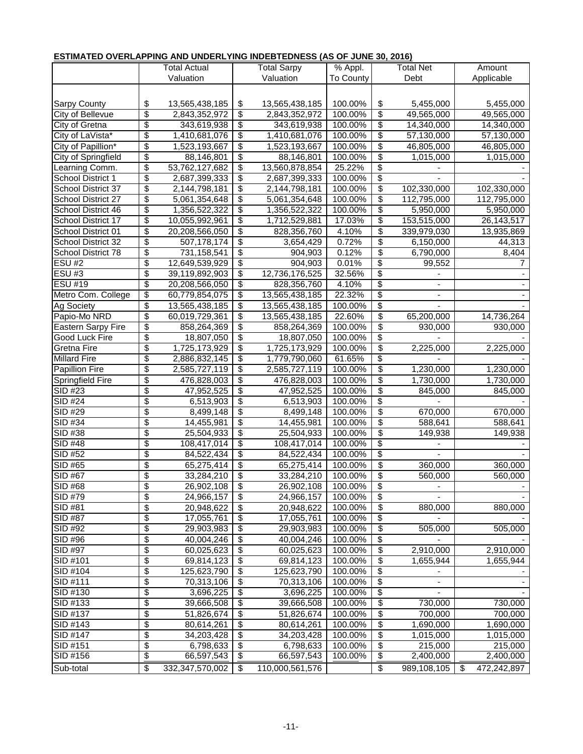# **ESTIMATED OVERLAPPING AND UNDERLYING INDEBTEDNESS (AS OF JUNE 30, 2016)**

|                     |                 | Total Actual    |                          | <b>Total Sarpy</b> | % Appl.   |                                  | Total Net   | Amount |             |  |  |
|---------------------|-----------------|-----------------|--------------------------|--------------------|-----------|----------------------------------|-------------|--------|-------------|--|--|
|                     |                 | Valuation       |                          | Valuation          | To County |                                  | Debt        |        | Applicable  |  |  |
|                     |                 |                 |                          |                    |           |                                  |             |        |             |  |  |
| <b>Sarpy County</b> | \$              | 13,565,438,185  | \$                       | 13,565,438,185     | 100.00%   | \$                               | 5,455,000   |        | 5,455,000   |  |  |
| City of Bellevue    | \$              | 2,843,352,972   | \$                       | 2,843,352,972      | 100.00%   | \$                               | 49,565,000  |        | 49,565,000  |  |  |
| City of Gretna      | $\overline{\$}$ | 343,619,938     | \$                       | 343,619,938        | 100.00%   | \$                               | 14,340,000  |        | 14,340,000  |  |  |
| City of LaVista*    | \$              | 1,410,681,076   | \$                       | 1,410,681,076      | 100.00%   | \$                               | 57,130,000  |        | 57,130,000  |  |  |
| City of Papillion*  | \$              | 1,523,193,667   | \$                       | 1,523,193,667      | 100.00%   | \$                               | 46,805,000  |        | 46,805,000  |  |  |
| City of Springfield | $\overline{\$}$ | 88,146,801      | \$                       | 88,146,801         | 100.00%   | \$                               | 1,015,000   |        | 1,015,000   |  |  |
| Learning Comm.      | \$              | 53,762,127,682  | \$                       | 13,560,878,854     | 25.22%    | \$                               |             |        |             |  |  |
| School District 1   | \$              | 2,687,399,333   | \$                       | 2,687,399,333      | 100.00%   | \$                               |             |        |             |  |  |
| School District 37  | \$              | 2,144,798,181   | \$                       | 2,144,798,181      | 100.00%   | \$                               | 102,330,000 |        | 102,330,000 |  |  |
| School District 27  | \$              | 5,061,354,648   | \$                       | 5,061,354,648      | 100.00%   | \$                               | 112,795,000 |        | 112,795,000 |  |  |
| School District 46  | \$              | 1,356,522,322   | \$                       | 1,356,522,322      | 100.00%   | \$                               | 5,950,000   |        | 5,950,000   |  |  |
| School District 17  | \$              | 10,055,992,961  | \$                       | 1,712,529,881      | 17.03%    | \$                               | 153,515,000 |        | 26,143,517  |  |  |
| School District 01  | $\overline{\$}$ | 20,208,566,050  | \$                       | 828,356,760        | 4.10%     | \$                               | 339,979,030 |        | 13,935,869  |  |  |
| School District 32  | \$              | 507,178,174     | \$                       | 3,654,429          | 0.72%     | \$                               | 6,150,000   |        | 44,313      |  |  |
| School District 78  | \$              | 731, 158, 541   | $\overline{\mathcal{G}}$ | 904,903            | 0.12%     | \$                               | 6,790,000   |        | 8,404       |  |  |
| <b>ESU#2</b>        | \$              | 12,649,539,929  | \$                       | 904,903            | 0.01%     | \$                               | 99,552      |        | 7           |  |  |
| ESU#3               | \$              | 39,119,892,903  | \$                       | 12,736,176,525     | 32.56%    | \$                               |             |        |             |  |  |
| <b>ESU #19</b>      | $\overline{\$}$ | 20,208,566,050  | \$                       | 828,356,760        | 4.10%     | \$                               |             |        |             |  |  |
| Metro Com. College  | \$              | 60,779,854,075  | \$                       | 13,565,438,185     | 22.32%    | \$                               |             |        |             |  |  |
| <b>Ag Society</b>   | $\overline{\$}$ | 13,565,438,185  | \$                       | 13,565,438,185     | 100.00%   | \$                               |             |        |             |  |  |
| Papio-Mo NRD        | $\overline{\$}$ | 60,019,729,361  | \$                       | 13,565,438,185     | 22.60%    | \$                               | 65,200,000  |        | 14,736,264  |  |  |
| Eastern Sarpy Fire  | \$              | 858,264,369     | \$                       | 858,264,369        | 100.00%   | \$                               | 930,000     |        | 930,000     |  |  |
| Good Luck Fire      | \$              | 18,807,050      | \$                       | 18,807,050         | 100.00%   | \$                               |             |        |             |  |  |
| Gretna Fire         | $\overline{\$}$ | 1,725,173,929   | \$                       | 1,725,173,929      | 100.00%   | \$                               | 2,225,000   |        | 2,225,000   |  |  |
| <b>Millard Fire</b> | $\overline{\$}$ | 2,886,832,145   | \$                       | 1,779,790,060      | 61.65%    | \$                               |             |        |             |  |  |
| Papillion Fire      | \$              | 2,585,727,119   | \$                       | 2,585,727,119      | 100.00%   | \$                               | 1,230,000   |        | 1,230,000   |  |  |
| Springfield Fire    | \$              | 476,828,003     | \$                       | 476,828,003        | 100.00%   | \$                               | 1,730,000   |        | 1,730,000   |  |  |
| SID #23             | \$              | 47,952,525      | \$                       | 47,952,525         | 100.00%   | \$                               | 845,000     |        | 845,000     |  |  |
| SID #24             | \$              | 6,513,903       | \$                       | 6,513,903          | 100.00%   | \$                               |             |        |             |  |  |
| SID #29             | \$              | 8,499,148       | \$                       | 8,499,148          | 100.00%   | \$                               | 670,000     |        | 670,000     |  |  |
| <b>SID #34</b>      | \$              | 14,455,981      | \$                       | 14,455,981         | 100.00%   | \$                               | 588,641     |        | 588,641     |  |  |
| SID #38             | $\overline{\$}$ | 25,504,933      | \$                       | 25,504,933         | 100.00%   | \$                               | 149,938     |        | 149,938     |  |  |
| SID #48             | \$              | 108,417,014     | \$                       | 108,417,014        | 100.00%   | \$                               |             |        |             |  |  |
| SID #52             | \$              | 84,522,434      | \$                       | 84,522,434         | 100.00%   | $\overline{\$}$                  |             |        |             |  |  |
| $SID \#65$          | \$              | 65,275,414      | \$                       | 65,275,414         | 100.00%   | \$                               | 360,000     |        | 360,000     |  |  |
| SID #67             | \$              | 33,284,210      | \$                       | 33,284,210         | 100.00%   | $\overline{\$}$                  | 560,000     |        | 560,000     |  |  |
| SID #68             | \$              | 26,902,108      | \$                       | 26,902,108         | 100.00%   | \$                               |             |        |             |  |  |
| SID #79             | $\overline{\$}$ | 24,966,157      | \$                       | 24,966,157         | 100.00%   | \$                               |             |        |             |  |  |
| SID #81             | \$              | 20,948,622      | \$                       | 20,948,622         | 100.00%   | \$                               | 880,000     |        | 880,000     |  |  |
| <b>SID #87</b>      | \$              | 17,055,761      | \$                       | 17,055,761         | 100.00%   | \$                               |             |        |             |  |  |
| SID #92             | \$              | 29,903,983      | \$                       | 29,903,983         | 100.00%   | \$                               | 505,000     |        | 505,000     |  |  |
| SID #96             | \$              | 40,004,246      | \$                       | 40,004,246         | 100.00%   | \$                               |             |        |             |  |  |
| SID #97             | \$              | 60,025,623      | \$                       | 60,025,623         | 100.00%   | \$                               | 2,910,000   |        | 2,910,000   |  |  |
| SID #101            | \$              | 69,814,123      | \$                       | 69,814,123         | 100.00%   | \$                               | 1,655,944   |        | 1,655,944   |  |  |
| SID #104            | \$              | 125,623,790     | \$                       | 125,623,790        | 100.00%   | \$                               |             |        |             |  |  |
| SID #111            | \$              | 70,313,106      | \$                       | 70,313,106         | 100.00%   | \$                               |             |        |             |  |  |
| SID #130            | \$              | 3,696,225       | \$                       | 3,696,225          | 100.00%   | \$                               |             |        |             |  |  |
| SID #133            | \$              | 39,666,508      | \$                       | 39,666,508         | 100.00%   | \$                               | 730,000     |        | 730,000     |  |  |
| SID #137            | \$              | 51,826,674      | \$                       | 51,826,674         | 100.00%   | \$                               | 700,000     |        | 700,000     |  |  |
| SID #143            | \$              | 80,614,261      | \$                       | 80,614,261         | 100.00%   | \$                               | 1,690,000   |        | 1,690,000   |  |  |
| SID #147            | \$              | 34,203,428      | \$                       | 34,203,428         | 100.00%   | \$                               | 1,015,000   |        | 1,015,000   |  |  |
| SID #151            | \$              | 6,798,633       | \$                       | 6,798,633          | 100.00%   | \$                               | 215,000     |        | 215,000     |  |  |
| SID #156            | \$              | 66,597,543      | \$                       | 66,597,543         | 100.00%   | $\overline{\boldsymbol{\theta}}$ | 2,400,000   |        | 2,400,000   |  |  |
| Sub-total           | \$              | 332,347,570,002 | \$                       | 110,000,561,576    |           | \$                               | 989,108,105 | \$     | 472,242,897 |  |  |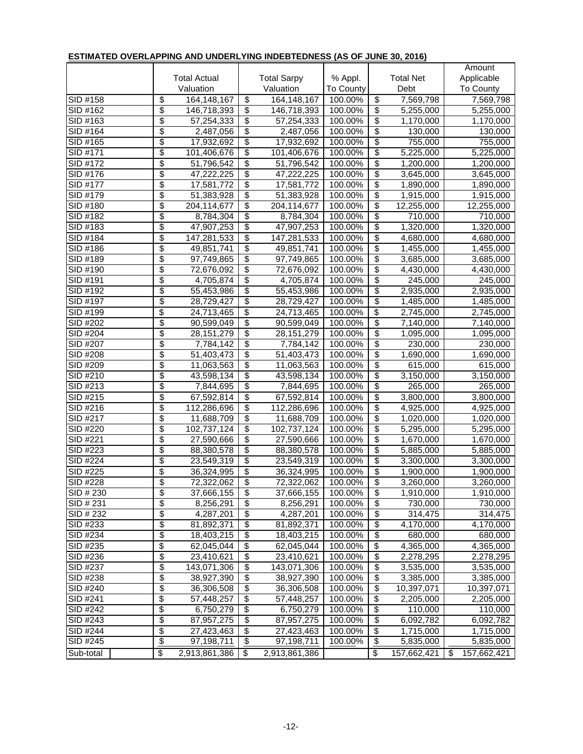| ,,,,,,,,,,,,         |                         |                          |                                    |                          | <u><b>PNECO (AO OF CONE CO, 2010)</b></u> |                                  |                        |                        |
|----------------------|-------------------------|--------------------------|------------------------------------|--------------------------|-------------------------------------------|----------------------------------|------------------------|------------------------|
|                      |                         |                          |                                    |                          |                                           |                                  |                        | Amount                 |
|                      |                         | <b>Total Actual</b>      |                                    | <b>Total Sarpy</b>       | % Appl.                                   |                                  | <b>Total Net</b>       | Applicable             |
|                      |                         | Valuation                |                                    | Valuation                | To County                                 |                                  | Debt                   | To County              |
| SID #158             | \$                      | 164,148,167              | \$                                 | 164, 148, 167            | 100.00%                                   | \$                               | 7,569,798              | 7,569,798              |
| SID #162             | \$                      | 146,718,393              | $\overline{\$}$                    | 146,718,393              | 100.00%                                   | $\overline{\mathbf{3}}$          | 5,255,000              | 5,255,000              |
| SID #163             | \$                      | 57,254,333               | $\overline{\$}$                    | 57,254,333               | 100.00%                                   | $\overline{\$}$                  | 1,170,000              | 1,170,000              |
| SID #164             | \$                      | 2,487,056                | \$                                 | 2,487,056                | 100.00%                                   | \$                               | 130,000                | 130,000                |
| SID #165             | \$                      | 17,932,692               | $\overline{\$}$                    | 17,932,692               | 100.00%                                   | \$                               | 755,000                | 755,000                |
| SID #171             | \$                      | 101,406,676              | $\overline{\$}$                    | 101,406,676              | 100.00%                                   | $\overline{\mathcal{E}}$         | 5,225,000              | $\overline{5,225,000}$ |
| SID #172             | \$                      | 51,796,542               | \$                                 | 51,796,542               | 100.00%                                   | \$                               | 1,200,000              | 1,200,000              |
| SID #176             | \$                      | 47,222,225               | \$                                 | 47,222,225               | 100.00%                                   | \$                               | 3,645,000              | 3,645,000              |
| SID #177             | \$                      | 17,581,772               | \$                                 | 17,581,772               | 100.00%                                   | \$                               | 1,890,000              | 1,890,000              |
| SID #179             | \$                      | 51,383,928               | \$                                 | 51,383,928               | 100.00%                                   | $\overline{\boldsymbol{\theta}}$ | 1,915,000              | 1,915,000              |
| SID #180             | \$                      | 204,114,677              | \$                                 | 204,114,677              | 100.00%                                   | \$                               | 12,255,000             | 12,255,000             |
| SID #182             | \$                      | 8,784,304                | $\overline{\$}$                    | 8,784,304                | 100.00%                                   | $\overline{\mathcal{S}}$         | 710,000                | 710,000                |
| SID #183             | \$                      | 47,907,253               | $\overline{\$}$                    | 47,907,253               | 100.00%                                   | $\overline{\boldsymbol{\theta}}$ | 1,320,000              | 1,320,000              |
| SID #184             | \$                      | 147,281,533              | $\overline{\mathbf{e}}$            | 147,281,533              | 100.00%                                   | $\overline{\boldsymbol{\theta}}$ | 4,680,000              | 4,680,000              |
| SID #186             | \$                      | 49,851,741               | \$                                 | 49,851,741               | 100.00%                                   | \$                               | 1,455,000              | 1,455,000              |
| SID #189             | \$                      | 97,749,865               | $\overline{\$}$                    | 97,749,865               | 100.00%                                   | \$                               | 3,685,000              | 3,685,000              |
| SID #190             | \$                      | 72,676,092               | \$                                 | 72,676,092               | 100.00%                                   | $\overline{\$}$                  | 4,430,000              | 4,430,000              |
| SID #191             | \$                      | 4,705,874                | $\overline{\$}$                    | 4,705,874                | 100.00%                                   | \$                               | 245,000                | 245,000                |
| SID #192             | \$                      | 55,453,986               | $\overline{\$}$                    | 55,453,986               | 100.00%                                   | $\overline{\$}$                  | 2,935,000              | 2,935,000              |
| SID #197             | \$                      | 28,729,427               | $\overline{\$}$                    | 28,729,427               | 100.00%                                   | $\overline{\mathcal{E}}$         | 1,485,000              | 1,485,000              |
| SID #199             | \$                      | 24,713,465               | $\overline{\mathcal{E}}$           | 24,713,465               | 100.00%                                   | \$                               | 2,745,000              | 2,745,000              |
| SID #202             | \$                      | 90,599,049               | \$                                 | 90,599,049               | 100.00%                                   | \$                               | 7,140,000              | 7,140,000              |
| SID #204             | \$                      | 28, 151, 279             | $\overline{\$}$                    | 28, 151, 279             | 100.00%                                   | \$                               | 1,095,000              | 1,095,000              |
| SID #207             | \$                      | 7,784,142                | $\overline{\$}$                    | 7,784,142                | 100.00%                                   | $\overline{\$}$                  | 230,000                | 230,000                |
| SID #208             | \$                      | 51,403,473               | $\overline{\$}$                    | 51,403,473               | 100.00%                                   | $\overline{\$}$                  | 1,690,000              | 1,690,000              |
| SID #209             | \$                      | 11,063,563               | $\overline{\$}$                    | 11,063,563               | 100.00%                                   | $\overline{\boldsymbol{\theta}}$ | 615,000                | 615,000                |
| SID #210             | \$                      | 43,598,134               | $\overline{\$}$                    | 43,598,134               | 100.00%                                   | $\overline{\mathcal{E}}$         | 3,150,000              | 3,150,000              |
| SID #213             | \$                      | 7,844,695                | $\overline{\$}$                    | 7,844,695                | 100.00%                                   | $\overline{\$}$                  | 265,000                | 265,000                |
| SID #215             | \$                      | 67,592,814               | \$                                 | 67,592,814               | 100.00%                                   | \$                               | 3,800,000              | 3,800,000              |
| SID #216             | \$                      | 112,286,696              | \$                                 | 112,286,696              | 100.00%                                   | \$                               | 4,925,000              | 4,925,000              |
| SID #217             | \$                      | 11,688,709               | $\overline{\$}$                    | 11,688,709               | 100.00%                                   | $\overline{\boldsymbol{\theta}}$ | 1,020,000              | 1,020,000              |
| SID #220             | \$                      | 102,737,124              | $\overline{\$}$                    | 102,737,124              | 100.00%                                   | $\overline{\$}$                  | 5,295,000              | 5,295,000              |
| SID #221             | \$                      | 27,590,666               | $\overline{\$}$                    | 27,590,666               | 100.00%                                   | $\overline{\boldsymbol{\theta}}$ | 1,670,000              | 1,670,000              |
| SID #223             | \$                      | 88,380,578               | $\overline{\$}$                    | 88,380,578               | 100.00%                                   | $\overline{\$}$                  | 5,885,000              | 5,885,000              |
| SID #224             | \$                      | 23.549.319               | $\overline{\mathbf{e}}$            | 23,549,319               | 100.00%                                   | $\overline{\boldsymbol{\theta}}$ | 3,300,000              | 3,300,000              |
| SID #225             | \$                      | 36,324,995               | $\overline{\mathcal{E}}$           | 36,324,995               | 100.00%                                   | \$                               | 1,900,000              | 1,900,000              |
| SID #228             | $\overline{\$}$         | 72,322,062               | $\overline{\$}$                    | 72,322,062               | 100.00%                                   | \$                               | 3,260,000              | 3,260,000              |
| SID # 230            | \$                      | 37,666,155               | \$                                 | 37,666,155               | 100.00%                                   | $\overline{\mathbf{e}}$          | 1,910,000              | 1,910,000              |
| SID # 231            | \$                      | 8,256,291                | $\overline{\$}$                    | 8,256,291                | 100.00%                                   | $\overline{\mathbf{e}}$          | 730,000                | 730,000                |
| SID # 232            | \$                      | 4,287,201                | $\overline{\boldsymbol{\theta}}$   | 4,287,201                | 100.00%                                   | $\overline{\mathcal{G}}$         | 314,475                | 314,475                |
| SID #233             | \$                      | 81,892,371               | $\overline{\$}$                    | 81,892,371               | 100.00%                                   | $\overline{\$}$                  | 4,170,000              | 4,170,000              |
| SID #234             | \$                      | 18,403,215               | $\overline{\boldsymbol{\theta}}$   | 18,403,215               | 100.00%                                   | $\overline{\boldsymbol{\theta}}$ | 680,000                | 680,000                |
| SID #235             | \$                      | 62,045,044               | \$                                 | 62,045,044               | 100.00%                                   | \$                               | 4,365,000              | 4,365,000              |
| SID #236             | \$                      | 23,410,621               | \$                                 | 23,410,621               | 100.00%                                   | \$                               | 2,278,295              | 2,278,295              |
| SID #237             | \$<br>\$                | 143,071,306              | $\overline{\$}$<br>$\overline{\$}$ | 143,071,306              | 100.00%                                   | \$<br>$\overline{\$}$            | 3,535,000              | 3,535,000              |
| SID #238             |                         | 38,927,390               |                                    | 38,927,390               | 100.00%                                   |                                  | 3,385,000              | 3,385,000              |
| SID #240<br>SID #241 | \$<br>\$                | 36,306,508               | $\overline{\$}$<br>$\overline{\$}$ | 36,306,508               | 100.00%                                   | \$<br>\$                         | 10,397,071             | 10,397,071             |
| SID #242             | \$                      | 57,448,257               | $\overline{\mathcal{G}}$           | 57,448,257               | 100.00%<br>100.00%                        | $\overline{\boldsymbol{\theta}}$ | 2,205,000              | 2,205,000              |
|                      | \$                      | 6,750,279                | $\overline{\boldsymbol{\theta}}$   | 6,750,279                |                                           |                                  | 110,000<br>6,092,782   | 110,000                |
| SID #243             | \$                      | 87,957,275               |                                    | 87,957,275               | 100.00%<br>100.00%                        | \$                               |                        | 6,092,782              |
| SID #244<br>SID #245 | \$                      | 27,423,463<br>97,198,711 | \$<br>$\overline{\mathcal{E}}$     | 27,423,463<br>97,198,711 | 100.00%                                   | \$<br>\$                         | 1,715,000<br>5,835,000 | 1,715,000<br>5,835,000 |
|                      |                         |                          |                                    |                          |                                           |                                  |                        |                        |
| Sub-total            | $\overline{\mathbf{3}}$ | 2,913,861,386            | \$                                 | 2,913,861,386            |                                           | \$                               | 157,662,421            | \$<br>157,662,421      |

## **ESTIMATED OVERLAPPING AND UNDERLYING INDEBTEDNESS (AS OF JUNE 30, 2016)**